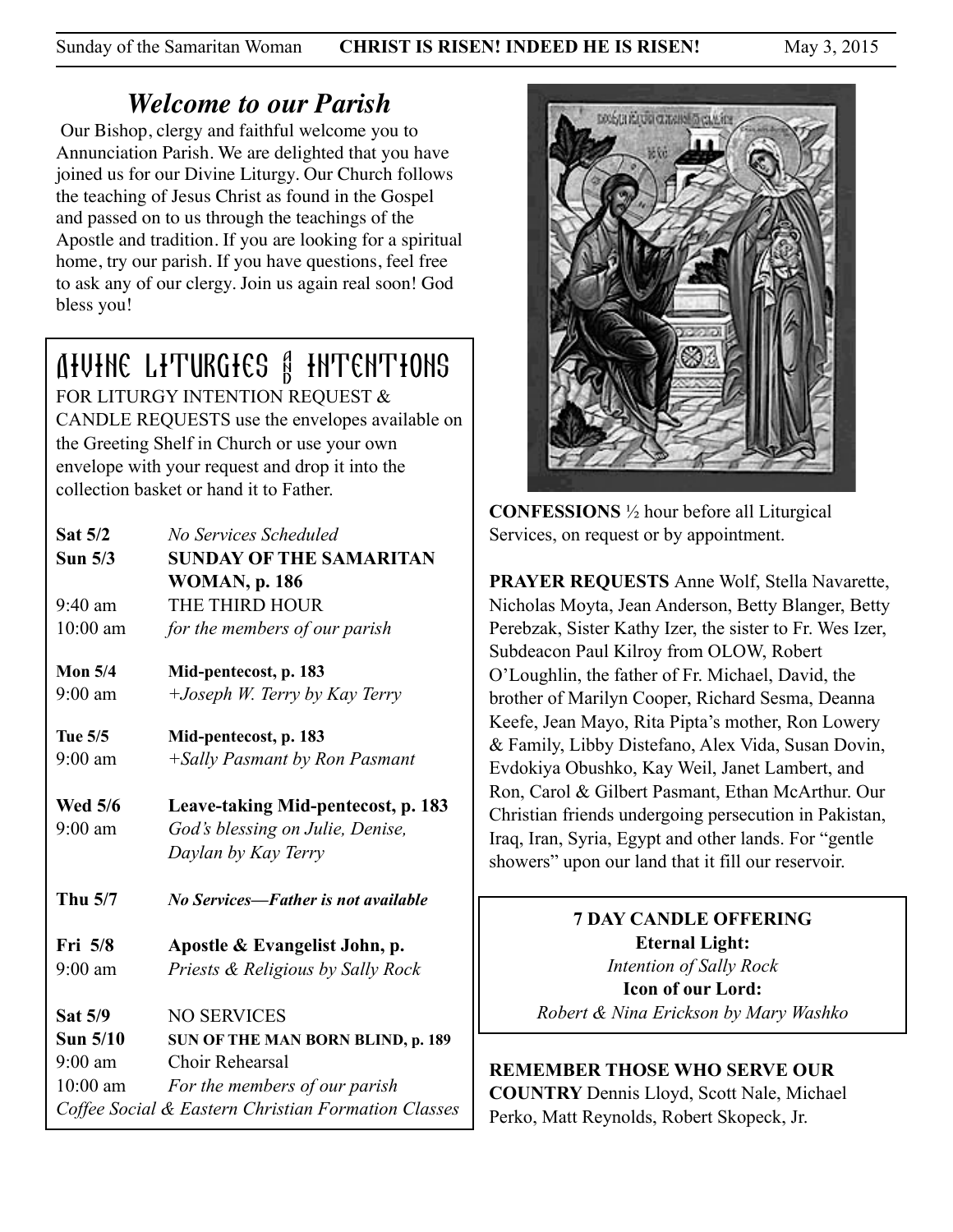Sunday of the Samaritan Woman **CHRIST IS RISEN! INDEED HE IS RISEN!** May 3, 2015

# *Welcome to our Parish*

 Our Bishop, clergy and faithful welcome you to Annunciation Parish. We are delighted that you have joined us for our Divine Liturgy. Our Church follows the teaching of Jesus Christ as found in the Gospel and passed on to us through the teachings of the Apostle and tradition. If you are looking for a spiritual home, try our parish. If you have questions, feel free to ask any of our clergy. Join us again real soon! God bless you!

# Divine Liturgies & Intentions

FOR LITURGY INTENTION REQUEST & CANDLE REQUESTS use the envelopes available on the Greeting Shelf in Church or use your own envelope with your request and drop it into the collection basket or hand it to Father.

| Sat 5/2<br>Sun $5/3$<br>$9:40$ am<br>$10:00$ am       | No Services Scheduled<br><b>SUNDAY OF THE SAMARITAN</b><br><b>WOMAN, p. 186</b><br>THE THIRD HOUR<br>for the members of our parish                                 |  |
|-------------------------------------------------------|--------------------------------------------------------------------------------------------------------------------------------------------------------------------|--|
| Mon $5/4$<br>$9:00$ am                                | Mid-pentecost, p. 183<br>$+$ <i>Joseph W. Terry by Kay Terry</i>                                                                                                   |  |
| Tue 5/5<br>$9:00$ am                                  | Mid-pentecost, p. 183<br>+Sally Pasmant by Ron Pasmant                                                                                                             |  |
| <b>Wed 5/6</b><br>$9:00$ am                           | Leave-taking Mid-pentecost, p. 183<br>God's blessing on Julie, Denise,<br>Daylan by Kay Terry                                                                      |  |
| Thu 5/7                                               | No Services—Father is not available                                                                                                                                |  |
| Fri 5/8<br>$9:00$ am                                  | Apostle & Evangelist John, p.<br>Priests & Religious by Sally Rock                                                                                                 |  |
| <b>Sat 5/9</b><br>Sun 5/10<br>$9:00$ am<br>$10:00$ am | <b>NO SERVICES</b><br>SUN OF THE MAN BORN BLIND, p. 189<br>Choir Rehearsal<br>For the members of our parish<br>Coffee Social & Eastern Christian Formation Classes |  |



**CONFESSIONS** ½ hour before all Liturgical Services, on request or by appointment.

**PRAYER REQUESTS** Anne Wolf, Stella Navarette, Nicholas Moyta, Jean Anderson, Betty Blanger, Betty Perebzak, Sister Kathy Izer, the sister to Fr. Wes Izer, Subdeacon Paul Kilroy from OLOW, Robert O'Loughlin, the father of Fr. Michael, David, the brother of Marilyn Cooper, Richard Sesma, Deanna Keefe, Jean Mayo, Rita Pipta's mother, Ron Lowery & Family, Libby Distefano, Alex Vida, Susan Dovin, Evdokiya Obushko, Kay Weil, Janet Lambert, and Ron, Carol & Gilbert Pasmant, Ethan McArthur. Our Christian friends undergoing persecution in Pakistan, Iraq, Iran, Syria, Egypt and other lands. For "gentle showers" upon our land that it fill our reservoir.

> **7 DAY CANDLE OFFERING Eternal Light:**  *Intention of Sally Rock*  **Icon of our Lord:**  *Robert & Nina Erickson by Mary Washko*

# **REMEMBER THOSE WHO SERVE OUR**

**COUNTRY** Dennis Lloyd, Scott Nale, Michael Perko, Matt Reynolds, Robert Skopeck, Jr.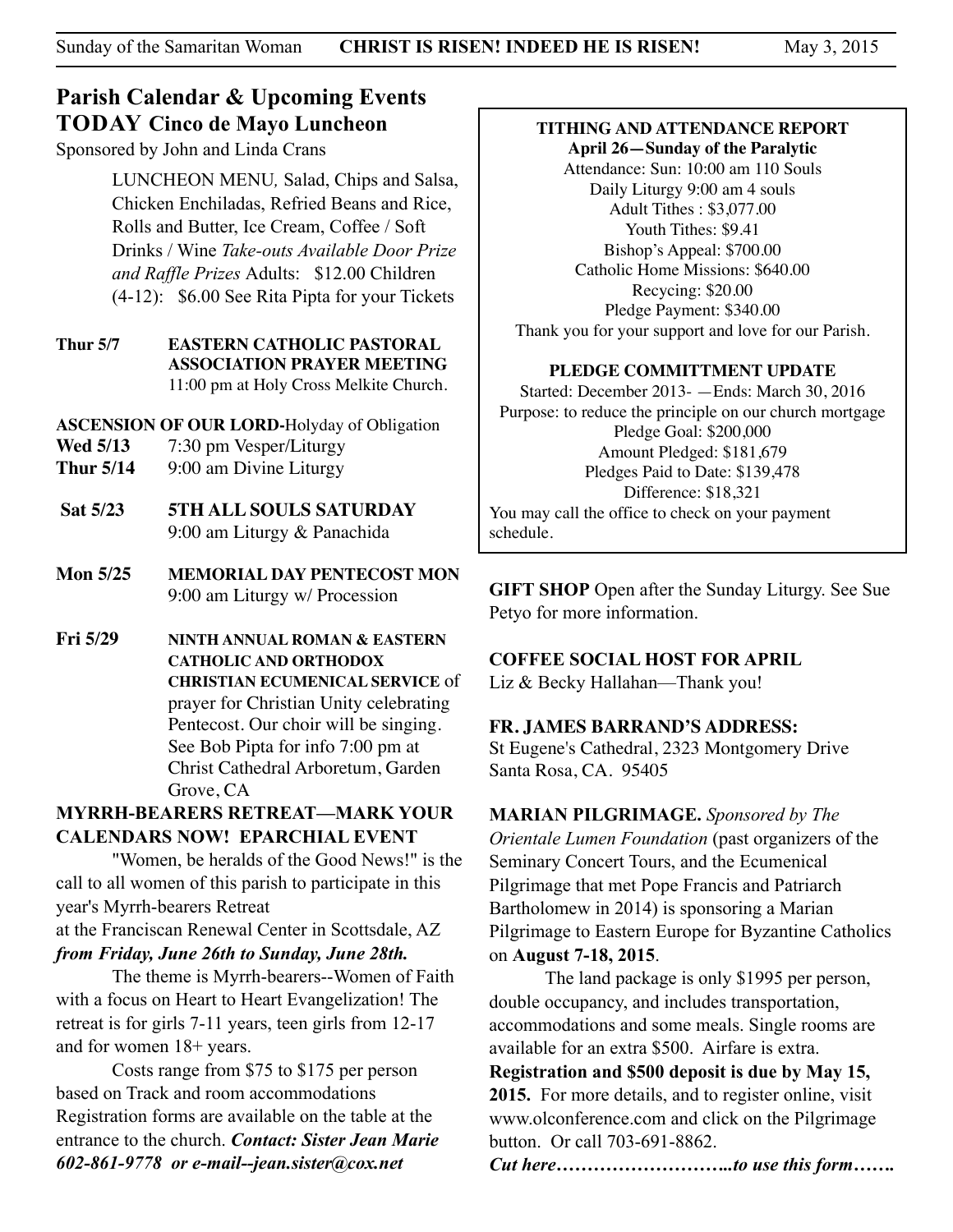# **Parish Calendar & Upcoming Events TODAY Cinco de Mayo Luncheon**

Sponsored by John and Linda Crans

 LUNCHEON MENU*,* Salad, Chips and Salsa, Chicken Enchiladas, Refried Beans and Rice, Rolls and Butter, Ice Cream, Coffee / Soft Drinks / Wine *Take-outs Available Door Prize and Raffle Prizes* Adults: \$12.00 Children (4-12): \$6.00 See Rita Pipta for your Tickets

**Thur 5/7 EASTERN CATHOLIC PASTORAL ASSOCIATION PRAYER MEETING** 11:00 pm at Holy Cross Melkite Church.

**ASCENSION OF OUR LORD-**Holyday of Obligation

- **Wed 5/13** 7:30 pm Vesper/Liturgy
- **Thur 5/14** 9:00 am Divine Liturgy
- **Sat 5/23 5TH ALL SOULS SATURDAY**  9:00 am Liturgy & Panachida
- **Mon 5/25 MEMORIAL DAY PENTECOST MON** 9:00 am Liturgy w/ Procession
- **Fri 5/29 NINTH ANNUAL ROMAN & EASTERN CATHOLIC AND ORTHODOX CHRISTIAN ECUMENICAL SERVICE** of prayer for Christian Unity celebrating Pentecost. Our choir will be singing. See Bob Pipta for info 7:00 pm at Christ Cathedral Arboretum, Garden Grove, CA

## **MYRRH-BEARERS RETREAT—MARK YOUR CALENDARS NOW! EPARCHIAL EVENT**

 "Women, be heralds of the Good News!" is the call to all women of this parish to participate in this year's Myrrh-bearers Retreat

at the Franciscan Renewal Center in Scottsdale, AZ *from Friday, June 26th to Sunday, June 28th.*

 The theme is Myrrh-bearers--Women of Faith with a focus on Heart to Heart Evangelization! The retreat is for girls 7-11 years, teen girls from 12-17 and for women 18+ years.

 Costs range from \$75 to \$175 per person based on Track and room accommodations Registration forms are available on the table at the entrance to the church. *Contact: Sister Jean Marie 602-861-9778 or e-mail--jean.sister@cox.net*

#### **TITHING AND ATTENDANCE REPORT April 26—Sunday of the Paralytic**

Attendance: Sun: 10:00 am 110 Souls Daily Liturgy 9:00 am 4 souls Adult Tithes : \$3,077.00 Youth Tithes: \$9.41 Bishop's Appeal: \$700.00 Catholic Home Missions: \$640.00 Recycing: \$20.00 Pledge Payment: \$340.00 Thank you for your support and love for our Parish.

#### **PLEDGE COMMITTMENT UPDATE**

Started: December 2013- —Ends: March 30, 2016 Purpose: to reduce the principle on our church mortgage Pledge Goal: \$200,000 Amount Pledged: \$181,679 Pledges Paid to Date: \$139,478 Difference: \$18,321 You may call the office to check on your payment schedule.

**GIFT SHOP** Open after the Sunday Liturgy. See Sue Petyo for more information.

### **COFFEE SOCIAL HOST FOR APRIL**

Liz & Becky Hallahan—Thank you!

#### **FR. JAMES BARRAND'S ADDRESS:**

St Eugene's Cathedral, 2323 Montgomery Drive Santa Rosa, CA. 95405

**MARIAN PILGRIMAGE.** *Sponsored by The* 

*Orientale Lumen Foundation* (past organizers of the Seminary Concert Tours, and the Ecumenical Pilgrimage that met Pope Francis and Patriarch Bartholomew in 2014) is sponsoring a Marian Pilgrimage to Eastern Europe for Byzantine Catholics on **August 7-18, 2015**.

 The land package is only \$1995 per person, double occupancy, and includes transportation, accommodations and some meals. Single rooms are available for an extra \$500. Airfare is extra.

**Registration and \$500 deposit is due by May 15, 2015.** For more details, and to register online, visit www.olconference.com and click on the Pilgrimage button. Or call 703-691-8862.

*Cut here………………………..to use this form…….*